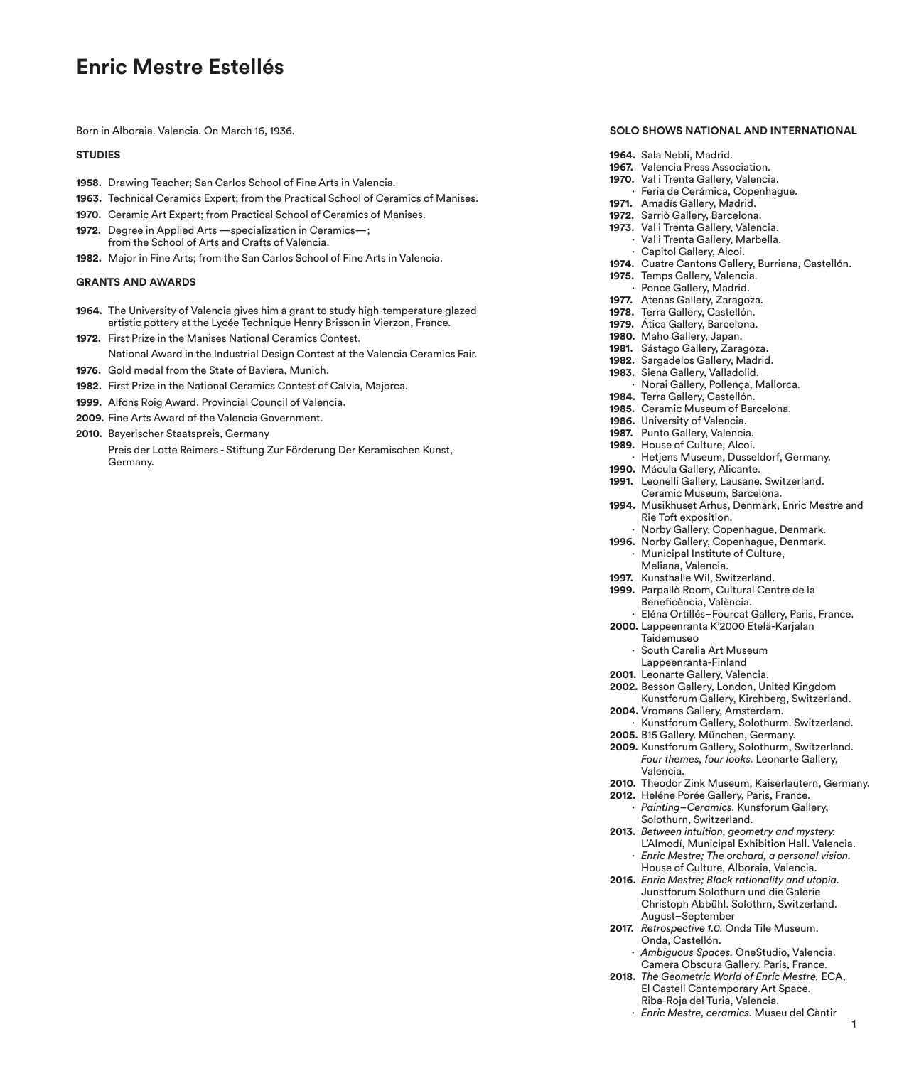## **Enric Mestre Estellés**

Born in Alboraia. Valencia. On March 16, 1936.

#### **STUDIES**

- **1958.** Drawing Teacher; San Carlos School of Fine Arts in Valencia.
- **1963.** Technical Ceramics Expert; from the Practical School of Ceramics of Manises.
- **1970.** Ceramic Art Expert; from Practical School of Ceramics of Manises.
- **1972.** Degree in Applied Arts —specialization in Ceramics—; from the School of Arts and Crafts of Valencia.
- **1982.** Major in Fine Arts; from the San Carlos School of Fine Arts in Valencia.

#### **GRANTS AND AWARDS**

- **1964.** The University of Valencia gives him a grant to study high-temperature glazed artistic pottery at the Lycée Technique Henry Brisson in Vierzon, France.
- **1972.** First Prize in the Manises National Ceramics Contest. National Award in the Industrial Design Contest at the Valencia Ceramics Fair.
- **1976.** Gold medal from the State of Baviera, Munich.
- **1982.** First Prize in the National Ceramics Contest of Calvia, Majorca.
- **1999.** Alfons Roig Award. Provincial Council of Valencia.
- **2009.** Fine Arts Award of the Valencia Government.
- **2010.** Bayerischer Staatspreis, Germany Preis der Lotte Reimers - Stiftung Zur Förderung Der Keramischen Kunst, Germany.

#### **SOLO SHOWS NATIONAL AND INTERNATIONAL**

#### **1964.** Sala Nebli, Madrid.

- **1967.** Valencia Press Association.
- **1970.** Val i Trenta Gallery, Valencia.
- **1982·** Feria de Cerámica, Copenhague. **1971.** Amadís Gallery, Madrid.
- 
- **1972.** Sarriò Gallery, Barcelona. **1973.** Val i Trenta Gallery, Valencia.
- **1982·** Val i Trenta Gallery, Marbella.
	- Capitol Gallery, Alcoi.
- **1974.** Cuatre Cantons Gallery, Burriana, Castellón.
- **1975.** Temps Gallery, Valencia. **1982·** Ponce Gallery, Madrid.
- **1977.** Atenas Gallery, Zaragoza.
- **1978.** Terra Gallery, Castellón.
- **1979.** Ática Gallery, Barcelona.
- **1980.** Maho Gallery, Japan.
- **1981.** Sástago Gallery, Zaragoza.
- **1982.** Sargadelos Gallery, Madrid.
- **1983.** Siena Gallery, Valladolid.
- **1982·** Norai Gallery, Pollença, Mallorca. **1984.** Terra Gallery, Castellón.
- **1985.** Ceramic Museum of Barcelona.
- **1986.** University of Valencia.
- **1987.** Punto Gallery, Valencia.
- **1989.** House of Culture, Alcoi.
- **1982·** Hetjens Museum, Dusseldorf, Germany.
- **1990.** Mácula Gallery, Alicante.
- **1991.** Leonelli Gallery, Lausane. Switzerland. Ceramic Museum, Barcelona.
- **1994.** Musikhuset Arhus, Denmark, Enric Mestre and Rie Toft exposition.
- **1982·** Norby Gallery, Copenhague, Denmark. **1996.** Norby Gallery, Copenhague, Denmark.
- **1982·** Municipal Institute of Culture, Meliana, Valencia.
- **1997.** Kunsthalle Wil, Switzerland.
- **1999.** Parpallò Room, Cultural Centre de la Beneficència, València.
- **1982·** Eléna Ortillés–Fourcat Gallery, Paris, France. **2000.** Lappeenranta K'2000 Etelä-Karjalan Taidemuseo
	- **1982·** South Carelia Art Museum Lappeenranta-Finland
- **2001.** Leonarte Gallery, Valencia.
- **2002.** Besson Gallery, London, United Kingdom Kunstforum Gallery, Kirchberg, Switzerland.
- **2004.** Vromans Gallery, Amsterdam.
- **1982·** Kunstforum Gallery, Solothurm. Switzerland. **2005.** B15 Gallery. München, Germany.
- 
- **2009.** Kunstforum Gallery, Solothurm, Switzerland. *Four themes, four looks.* Leonarte Gallery, Valencia.
- **2010.** Theodor Zink Museum, Kaiserlautern, Germany.
- **2012.** Heléne Porée Gallery, Paris, France. **1982·** *Painting–Ceramics.* Kunsforum Gallery, Solothurn, Switzerland.
- **2013.** *Between intuition, geometry and mystery.* L'Almodí, Municipal Exhibition Hall. Valencia. **1982·** *Enric Mestre; The orchard, a personal vision.*
- House of Culture, Alboraia, Valencia. **2016.** *Enric Mestre; Black rationality and utopia.* Junstforum Solothurn und die Galerie Christoph Abbühl. Solothrn, Switzerland. August–September
- **2017.** *Retrospective 1.0.* Onda Tile Museum. Onda, Castellón.
	- **1982·** *Ambiguous Spaces.* OneStudio, Valencia. Camera Obscura Gallery. Paris, France.
- **2018.** *The Geometric World of Enric Mestre.* ECA, El Castell Contemporary Art Space. Riba-Roja del Turia, Valencia.
	- **1982·** *Enric Mestre, ceramics.* Museu del Càntir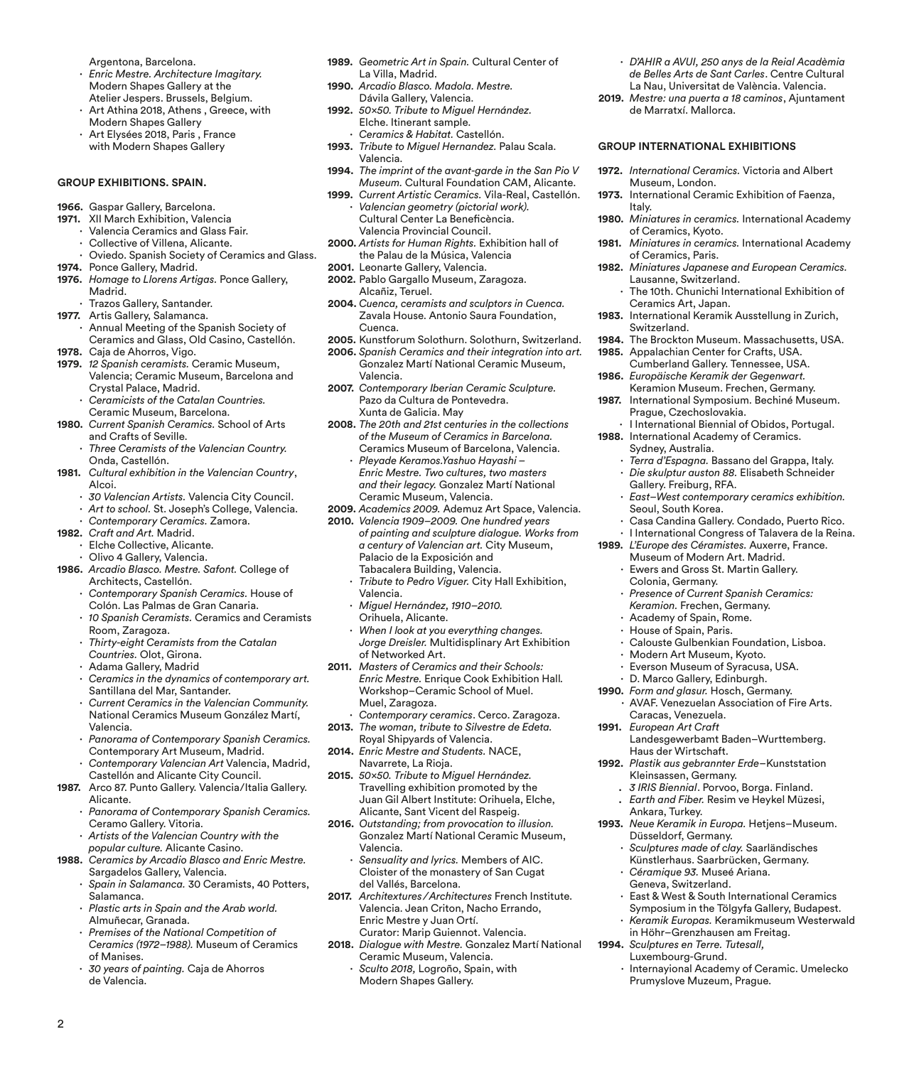Argentona, Barcelona.

- **1982·** *Enric Mestre. Architecture Imagitary.* Modern Shapes Gallery at the Atelier Jespers. Brussels, Belgium.
- **1982·** Art Athina 2018, Athens , Greece, with Modern Shapes Gallery
- **1982·** Art Elysées 2018, Paris , France with Modern Shapes Gallery

#### **GROUP EXHIBITIONS. SPAIN.**

- **1966.** Gaspar Gallery, Barcelona.
- **1971.** XII March Exhibition, Valencia
	- **1982·** Valencia Ceramics and Glass Fair.
	- **1982·** Collective of Villena, Alicante.
	- **1982·** Oviedo. Spanish Society of Ceramics and Glass.
- **1974.** Ponce Gallery, Madrid.
- **1976.** *Homage to Llorens Artigas.* Ponce Gallery, Madrid.
	- **1982·** Trazos Gallery, Santander.
- **1977.** Artis Gallery, Salamanca.
- **1982·** Annual Meeting of the Spanish Society of Ceramics and Glass, Old Casino, Castellón.
- **1978.** Caja de Ahorros, Vigo.
- **1979.** *12 Spanish ceramists.* Ceramic Museum, Valencia; Ceramic Museum, Barcelona and Crystal Palace, Madrid.
	- **1982·** *Ceramicists of the Catalan Countries.* Ceramic Museum, Barcelona.
- **1980.** *Current Spanish Ceramics.* School of Arts and Crafts of Seville.
	- **1982·** *Three Ceramists of the Valencian Country.* Onda, Castellón.
- **1981.** *Cultural exhibition in the Valencian Country*, Alcoi.
	- **1982·** *30 Valencian Artists.* Valencia City Council.
	- **1982·** *Art to school.* St. Joseph's College, Valencia.
	- **1982·** *Contemporary Ceramics.* Zamora.
- **1982.** *Craft and Art.* Madrid.
- **1982·** Elche Collective, Alicante.
- **1982·** Olivo 4 Gallery, Valencia.
- **1986.** *Arcadio Blasco. Mestre. Safont.* College of Architects, Castellón.
	- **1982·** *Contemporary Spanish Ceramics.* House of Colón. Las Palmas de Gran Canaria.
	- **1982·** *10 Spanish Ceramists.* Ceramics and Ceramists Room, Zaragoza.
	- **1982·** *Thirty-eight Ceramists from the Catalan Countries.* Olot, Girona.
	- **1982·** Adama Gallery, Madrid
	- **1982·** *Ceramics in the dynamics of contemporary art.* Santillana del Mar, Santander.
	- **1982·** *Current Ceramics in the Valencian Community.* National Ceramics Museum González Martí, Valencia.
	- **1982·** *Panorama of Contemporary Spanish Ceramics.* Contemporary Art Museum, Madrid.
	- **1982·** *Contemporary Valencian Art* Valencia, Madrid, Castellón and Alicante City Council.
- **1987.** Arco 87. Punto Gallery. Valencia/Italia Gallery. Alicante.
	- **1982·** *Panorama of Contemporary Spanish Ceramics.* Ceramo Gallery. Vitoria.
	- **1982·** *Artists of the Valencian Country with the popular culture.* Alicante Casino.
- **1988.** *Ceramics by Arcadio Blasco and Enric Mestre.* Sargadelos Gallery, Valencia.
	- **1982·** *Spain in Salamanca.* 30 Ceramists, 40 Potters, Salamanca.
	- **1982·** *Plastic arts in Spain and the Arab world.*  Almuñecar, Granada.
	- **1982·** *Premises of the National Competition of Ceramics (1972–1988).* Museum of Ceramics of Manises.
	- **1982·** *30 years of painting.* Caja de Ahorros de Valencia.

 $\mathfrak{p}$ 

- **1989.** *Geometric Art in Spain.* Cultural Center of La Villa, Madrid.
- **1990.** *Arcadio Blasco. Madola. Mestre.*  Dávila Gallery, Valencia.
- **1992.** *50x50. Tribute to Miguel Hernández.* Elche. Itinerant sample. **1982·** *Ceramics & Habitat.* Castellón.
- **1993.** *Tribute to Miguel Hernandez.* Palau Scala. Valencia.
- **1994.** *The imprint of the avant-garde in the San Pio V Museum.* Cultural Foundation CAM, Alicante.
- **1999.** *Current Artistic Ceramics.* Vila-Real, Castellón. **1982·** *Valencian geometry (pictorial work).* Cultural Center La Beneficència. Valencia Provincial Council.
- **2000.** *Artists for Human Rights.* Exhibition hall of the Palau de la Música, Valencia
- **2001.** Leonarte Gallery, Valencia.
- **2002.** Pablo Gargallo Museum, Zaragoza. Alcañiz, Teruel.
- **2004.** *Cuenca, ceramists and sculptors in Cuenca.* Zavala House. Antonio Saura Foundation, Cuenca.
- **2005.** Kunstforum Solothurn. Solothurn, Switzerland.
- **2006.** *Spanish Ceramics and their integration into art.* Gonzalez Martí National Ceramic Museum, Valencia.
- **2007.** *Contemporary Iberian Ceramic Sculpture.* Pazo da Cultura de Pontevedra. Xunta de Galicia. May
- **2008.** *The 20th and 21st centuries in the collections of the Museum of Ceramics in Barcelona.* Ceramics Museum of Barcelona, Valencia.
	- **1982·** *Pleyade Keramos.Yashuo Hayashi Enric Mestre. Two cultures, two masters and their legacy.* Gonzalez Martí National Ceramic Museum, Valencia.
- **2009.** *Academics 2009.* Ademuz Art Space, Valencia.
- **2010.** *Valencia 1909–2009. One hundred years of painting and sculpture dialogue. Works from a century of Valencian art.* City Museum, Palacio de la Exposición and Tabacalera Building, Valencia.
	- **1982·** *Tribute to Pedro Viguer.* City Hall Exhibition, Valencia.
	- **1982·** *Miguel Hernández, 1910–2010.* Orihuela, Alicante.
	- **1982·** *When I look at you everything changes. Jorge Dreisler.* Multidisplinary Art Exhibition of Networked Art.
- **2011.** *Masters of Ceramics and their Schools: Enric Mestre.* Enrique Cook Exhibition Hall*.* Workshop–Ceramic School of Muel. Muel, Zaragoza.
- **1982·** *Contemporary ceramics*. Cerco. Zaragoza. **2013.** *The woman, tribute to Silvestre de Edeta.* Royal Shipyards of Valencia.
- **2014.** *Enric Mestre and Students.* NACE, Navarrete, La Rioja.
- **2015.** *50x50. Tribute to Miguel Hernández.* Travelling exhibition promoted by the Juan Gil Albert Institute: Orihuela, Elche, Alicante, Sant Vicent del Raspeig.
- **2016.** *Outstanding; from provocation to illusion.* Gonzalez Martí National Ceramic Museum, Valencia.
	- **1982·** *Sensuality and lyrics.* Members of AIC. Cloister of the monastery of San Cugat del Vallés, Barcelona.
- **2017.** *Architextures / Architectures* French Institute. Valencia. Jean Criton, Nacho Errando, Enric Mestre y Juan Ortí. Curator: Marip Guiennot. Valencia.
- **2018.** *Dialogue with Mestre.* Gonzalez Martí National Ceramic Museum, Valencia. **1982·** *Sculto 2018,* Logroño, Spain, with

Modern Shapes Gallery.

- **1982·** *D'AHIR a AVUI, 250 anys de la Reial Acadèmia de Belles Arts de Sant Carles*. Centre Cultural La Nau, Universitat de València. Valencia.
- **2019.** *Mestre: una puerta a 18 caminos*, Ajuntament de Marratxí. Mallorca.

#### **GROUP INTERNATIONAL EXHIBITIONS**

- **1972.** *International Ceramics.* Victoria and Albert Museum, London.
- **1973.** International Ceramic Exhibition of Faenza, Italy.
- **1980.** *Miniatures in ceramics.* International Academy of Ceramics, Kyoto.
- **1981.** *Miniatures in ceramics.* International Academy of Ceramics, Paris.
- **1982.** *Miniatures Japanese and European Ceramics.* Lausanne, Switzerland.
	- **1982·** The 10th. Chunichi International Exhibition of Ceramics Art, Japan.
- **1983.** International Keramik Ausstellung in Zurich, Switzerland.
- **1984.** The Brockton Museum. Massachusetts, USA.
- **1985.** Appalachian Center for Crafts, USA. Cumberland Gallery. Tennessee, USA. **1986.** *Europäische Keramik der Gegenwart.*
- Keramion Museum. Frechen, Germany.
- **1987.** International Symposium. Bechiné Museum. Prague, Czechoslovakia. **1** International Biennial of Obidos, Portugal.
- **1988.** International Academy of Ceramics. Sydney, Australia.
	- **1988·** *Terra d'Espagna.* Bassano del Grappa, Italy.
	- **1988·** *Die skulptur auston 88.* Elisabeth Schneider Gallery. Freiburg, RFA.
	- **1988·** *East–West contemporary ceramics exhibition.* Seoul, South Korea.
	- **1988·** Casa Candina Gallery. Condado, Puerto Rico. **1988·** I International Congress of Talavera de la Reina.

### **1989.** *L'Europe des Céramistes.* Auxerre, France.

- Museum of Modern Art. Madrid. **1989·** Ewers and Gross St. Martin Gallery. Colonia, Germany.
- **1989·** *Presence of Current Spanish Ceramics: Keramion.* Frechen, Germany.
- **1989·** Academy of Spain, Rome.
- **1989·** House of Spain, Paris.
- **1989·** Calouste Gulbenkian Foundation, Lisboa.

**1990·** AVAF. Venezuelan Association of Fire Arts.

Landesgewerbamt Baden–Wurttemberg.

**1992.** *Plastik aus gebrannter Erde*–Kunststation

**1991.** *3 IRIS Biennial*. Porvoo, Borga. Finland. **1991.** *Earth and Fiber.* Resim ve Heykel Müzesi,

**1993.** *Neue Keramik in Europa.* Hetjens–Museum.

in Höhr–Grenzhausen am Freitag.

Prumyslove Muzeum, Prague.

**1993·** *Sculptures made of clay.* Saarländisches Künstlerhaus. Saarbrücken, Germany. **1993·** *Céramique 93.* Museé Ariana. Geneva, Switzerland.

**1993·** East & West & South International Ceramics Symposium in the Tölgyfa Gallery, Budapest. **1993·** *Keramik Europas.* Keramikmuseum Westerwald

**1994·** Internayional Academy of Ceramic. Umelecko

- **1989·** Modern Art Museum, Kyoto.
- **1989·** Everson Museum of Syracusa, USA.
- **1989·** D. Marco Gallery, Edinburgh. **1990.** *Form and glasur.* Hosch, Germany.

Caracas, Venezuela. **1991.** *European Art Craft* 

Haus der Wirtschaft.

Kleinsassen, Germany.

Düsseldorf, Germany.

**1994.** *Sculptures en Terre. Tutesall,* Luxembourg-Grund.

Ankara, Turkey.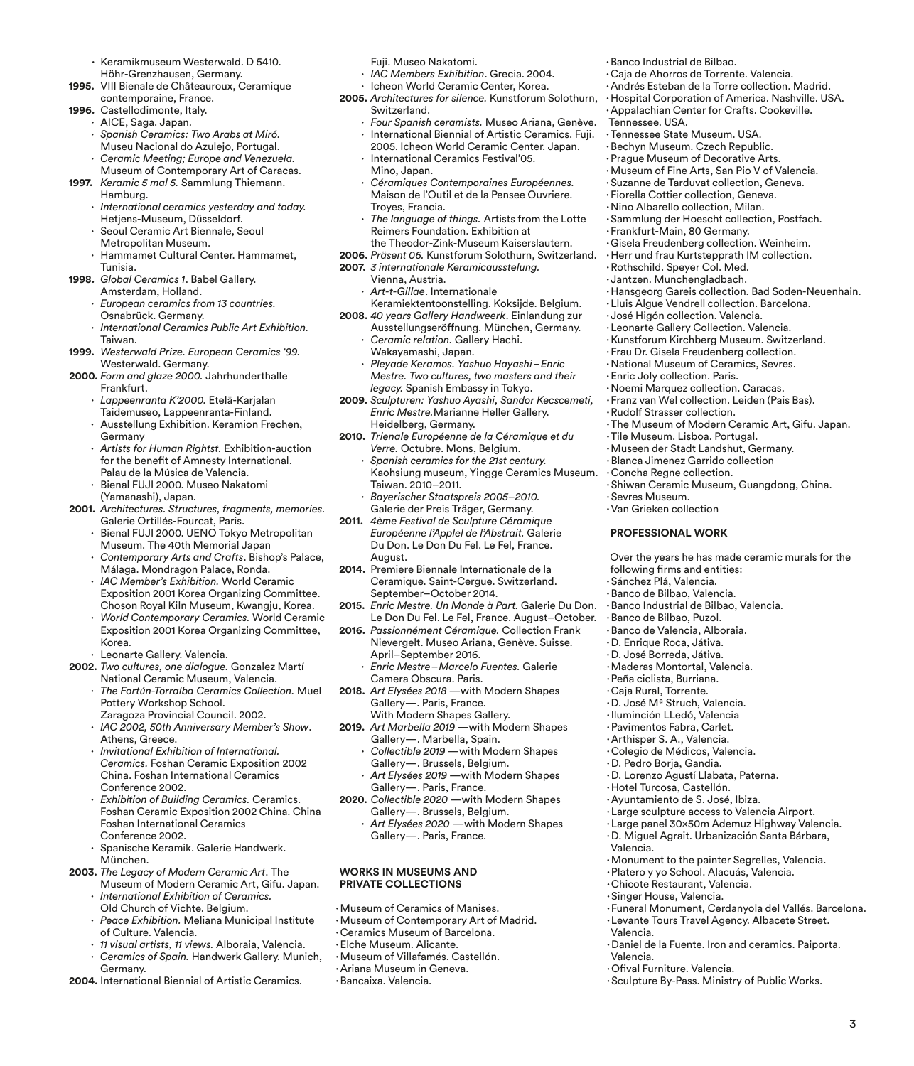- **1994·** Keramikmuseum Westerwald. D 5410. Höhr-Grenzhausen, Germany.
- **1995.** VIII Bienale de Châteauroux, Ceramique contemporaine, France.
- **1996.** Castellodimonte, Italy.
	- **1988·** AICE, Saga. Japan. **1982·** *Spanish Ceramics: Two Arabs at Miró.*
	- Museu Nacional do Azulejo, Portugal.
	- **1982·** *Ceramic Meeting; Europe and Venezuela.*  Museum of Contemporary Art of Caracas.
- **1997.** *Keramic 5 mal 5.* Sammlung Thiemann. Hamburg.
	- **1982·** *International ceramics yesterday and today.* Hetjens-Museum, Düsseldorf.
	- **1982·** Seoul Ceramic Art Biennale, Seoul **19** Metropolitan Museum.
	- **1982·** Hammamet Cultural Center. Hammamet, Tunisia.
- **1998.** *Global Ceramics 1*. Babel Gallery. Amsterdam, Holland.
	- **1982·** *European ceramics from 13 countries.* Osnabrück. Germany.
	- **1982·** *International Ceramics Public Art Exhibition.*
- Taiwan. **1999.** *Westerwald Prize. European Ceramics '99.*
- Westerwald. Germany. **2000.** *Form and glaze 2000.* Jahrhunderthalle Frankfurt.
	- **1982·** *Lappeenranta K'2000.* Etelä-Karjalan Taidemuseo, Lappeenranta-Finland.
	- **1982·** Ausstellung Exhibition. Keramion Frechen, Germany
	- **1982·** *Artists for Human Rightst.* Exhibition-auction for the benefit of Amnesty International. Palau de la Música de Valencia.
	- **1982·** Bienal FUJI 2000. Museo Nakatomi (Yamanashi), Japan.
- **2001.** *Architectures. Structures, fragments, memories.*  Galerie Ortillés-Fourcat, Paris.
	- **1982·** Bienal FUJI 2000. UENO Tokyo Metropolitan Museum. The 40th Memorial Japan
	- **1982·** *Contemporary Arts and Crafts*. Bishop's Palace, Málaga. Mondragon Palace, Ronda.
	- **1982·** *IAC Member's Exhibition.* World Ceramic Exposition 2001 Korea Organizing Committee. Choson Royal Kiln Museum, Kwangju, Korea.
	- **1982·** *World Contemporary Ceramics.* World Ceramic Exposition 2001 Korea Organizing Committee, Korea.
	- **1982·** Leonarte Gallery. Valencia.
- **2002.** *Two cultures, one dialogue.* Gonzalez Martí National Ceramic Museum, Valencia.
	- **1982·** *The Fortún-Torralba Ceramics Collection.* Muel Pottery Workshop School.
	- Zaragoza Provincial Council. 2002. **1982·** *IAC 2002, 50th Anniversary Member's Show*. Athens, Greece.
	- **1982·** *Invitational Exhibition of International. Ceramics.* Foshan Ceramic Exposition 2002 China. Foshan International Ceramics Conference 2002.
	- **1982·** *Exhibition of Building Ceramics.* Ceramics. Foshan Ceramic Exposition 2002 China. China Foshan International Ceramics Conference 2002.
	- **1982·** Spanische Keramik. Galerie Handwerk. München.
- **2003.** *The Legacy of Modern Ceramic Art*. The Museum of Modern Ceramic Art, Gifu. Japan.
	- **1982·** *International Exhibition of Ceramics.* Old Church of Vichte. Belgium.
	- **1982·** *Peace Exhibition.* Meliana Municipal Institute of Culture. Valencia.
	- **1982·** *11 visual artists, 11 views.* Alboraia, Valencia.
	- **1982·** *Ceramics of Spain.* Handwerk Gallery. Munich, Germany.
- **2004.** International Biennial of Artistic Ceramics.
- Fuji. Museo Nakatomi.
- **1982·** *IAC Members Exhibition*. Grecia. 2004.
- **1982·** Icheon World Ceramic Center, Korea.
- **2005.** *Architectures for silence.* Kunstforum Solothurn, Switzerland.
	- **1982·** *Four Spanish ceramists.* Museo Ariana, Genève. **1982·** International Biennial of Artistic Ceramics. Fuji. 2005. Icheon World Ceramic Center. Japan.
	- **1982·** International Ceramics Festival'05.
	- Mino, Japan.
	- **1982·** *Céramiques Contemporaines Européennes.* Maison de l'Outil et de la Pensee Ouvriere. Troyes, Francia.
	- **1982·** *The language of things.* Artists from the Lotte Reimers Foundation. Exhibition at the Theodor-Zink-Museum Kaiserslautern.
- **2006.** *Präsent 06.* Kunstforum Solothurn, Switzerland.
- **2007.** *3 internationale Keramicausstelung.* Vienna, Austria.
	- **1982·** *Art-t-Gillae*. Internationale
- Keramiektentoonstelling. Koksijde. Belgium. **2008.** *40 years Gallery Handweerk*. Einlandung zur
- Ausstellungseröffnung. München, Germany. **1982·** *Ceramic relation.* Gallery Hachi.
	- Wakayamashi, Japan.
	- **1982·** *Pleyade Keramos. Yashuo Hayashi–Enric Mestre. Two cultures, two masters and their legacy.* Spanish Embassy in Tokyo.
- **2009.** *Sculpturen: Yashuo Ayashi, Sandor Kecscemeti, Enric Mestre.*Marianne Heller Gallery. Heidelberg, Germany.
- **2010.** *Trienale Européenne de la Céramique et du Verre.* Octubre. Mons, Belgium. **1982·** *Spanish ceramics for the 21st century.* Kaohsiung museum, Yingge Ceramics Museum.
	- Taiwan. 2010–2011. **1982·** *Bayerischer Staatspreis 2005–2010.*
- Galerie der Preis Träger, Germany. **2011.** *4ème Festival de Sculpture Céramique*
- *Européenne l'Applel de l'Abstrait.* Galerie Du Don. Le Don Du Fel. Le Fel, France. August.
- **2014.** Premiere Biennale Internationale de la Ceramique. Saint-Cergue. Switzerland. September–October 2014.
- **2015.** *Enric Mestre. Un Monde à Part.* Galerie Du Don. Le Don Du Fel. Le Fel, France. August–October.
- **2016.** *Passionnément Céramique.* Collection Frank Nievergelt. Museo Ariana, Genève. Suisse. April–September 2016. **1982·** *Enric Mestre–Marcelo Fuentes.* Galerie
- Camera Obscura. Paris. **2018.** *Art Elysées 2018* —with Modern Shapes
- Gallery—. Paris, France. With Modern Shapes Gallery.
- **2019.** *Art Marbella 2019* —with Modern Shapes Gallery—. Marbella, Spain.
	- **1982·** *Collectible 2019* —with Modern Shapes Gallery—. Brussels, Belgium. **1982·** *Art Elysées 2019* —with Modern Shapes
- Gallery—. Paris, France. **2020.** *Collectible 2020* —with Modern Shapes
- Gallery—. Brussels, Belgium. **1982·** *Art Elysées 2020* —with Modern Shapes
- Gallery—. Paris, France.

#### **WORKS IN MUSEUMS AND PRIVATE COLLECTIONS**

- **·**Museum of Ceramics of Manises.
- **·**Museum of Contemporary Art of Madrid.
- **·**Ceramics Museum of Barcelona.
- **·**Elche Museum. Alicante.
- **·**Museum of Villafamés. Castellón.
- **·**Ariana Museum in Geneva.
- **·**Bancaixa. Valencia.
- **·**Banco Industrial de Bilbao.
- **·**Caja de Ahorros de Torrente. Valencia.
- **·**Andrés Esteban de la Torre collection. Madrid.
- **·**Hospital Corporation of America. Nashville. USA.
- **·**Appalachian Center for Crafts. Cookeville. Tennessee. USA.
- **·**Tennessee State Museum. USA.
- **·**Bechyn Museum. Czech Republic.
- **·**Prague Museum of Decorative Arts.
- **·**Museum of Fine Arts, San Pio V of Valencia.
- **·**Suzanne de Tarduvat collection, Geneva.
- **·**Fiorella Cottier collection, Geneva.
- **·**Nino Albarello collection, Milan.
- **·**Sammlung der Hoescht collection, Postfach.
- **·**Frankfurt-Main, 80 Germany.
- **·**Gisela Freudenberg collection. Weinheim.
- **·**Herr und frau Kurtstepprath IM collection.
- **·**Rothschild. Speyer Col. Med.
- **·**Jantzen. Munchengladbach.

**·**Enric Joly collection. Paris. **·**Noemi Marquez collection. Caracas. **·**Franz van Wel collection. Leiden (Pais Bas).

**·**Rudolf Strasser collection.

**·**Sevres Museum. **·**Van Grieken collection **PROFESSIONAL WORK**

**·**Tile Museum. Lisboa. Portugal. **·**Museen der Stadt Landshut, Germany. **·**Blanca Jimenez Garrido collection **·**Concha Regne collection.

following firms and entities: **·**Sánchez Plá, Valencia. **·**Banco de Bilbao, Valencia. **·**Banco Industrial de Bilbao, Valencia.

**·**D. Lorenzo Agustí Llabata, Paterna.

**·**Large sculpture access to Valencia Airport. **·**Large panel 30x50m Ademuz Highway Valencia. **·**D. Miguel Agrait. Urbanización Santa Bárbara,

**·**Monument to the painter Segrelles, Valencia. **·**Platero y yo School. Alacuás, Valencia. **·**Chicote Restaurant, Valencia. **·**Singer House, Valencia.

**·**Funeral Monument, Cerdanyola del Vallés. Barcelona. **·**Levante Tours Travel Agency. Albacete Street.

**·**Daniel de la Fuente. Iron and ceramics. Paiporta.

**·**Sculpture By-Pass. Ministry of Public Works.

**·**Hotel Turcosa, Castellón. **·**Ayuntamiento de S. José, Ibiza.

**·**Ofival Furniture. Valencia.

Valencia.

Valencia.

Valencia.

**·**Banco de Bilbao, Puzol. **·**Banco de Valencia, Alboraia. **·**D. Enrique Roca, Játiva. **·**D. José Borreda, Játiva. **·**Maderas Montortal, Valencia. **·**Peña ciclista, Burriana. **·**Caja Rural, Torrente. **·**D. José Mª Struch, Valencia. **·**Iluminción LLedó, Valencia **·**Pavimentos Fabra, Carlet. **·**Arthisper S. A., Valencia. **·**Colegio de Médicos, Valencia. **·**D. Pedro Borja, Gandia.

**·**Hansgeorg Gareis collection. Bad Soden-Neuenhain.

**·**The Museum of Modern Ceramic Art, Gifu. Japan.

**·**Shiwan Ceramic Museum, Guangdong, China.

Over the years he has made ceramic murals for the

3

- **·**Lluis Algue Vendrell collection. Barcelona.
- **·**José Higón collection. Valencia.
- **·**Leonarte Gallery Collection. Valencia.
- **·**Kunstforum Kirchberg Museum. Switzerland. **·**Frau Dr. Gisela Freudenberg collection.
- **·**National Museum of Ceramics, Sevres.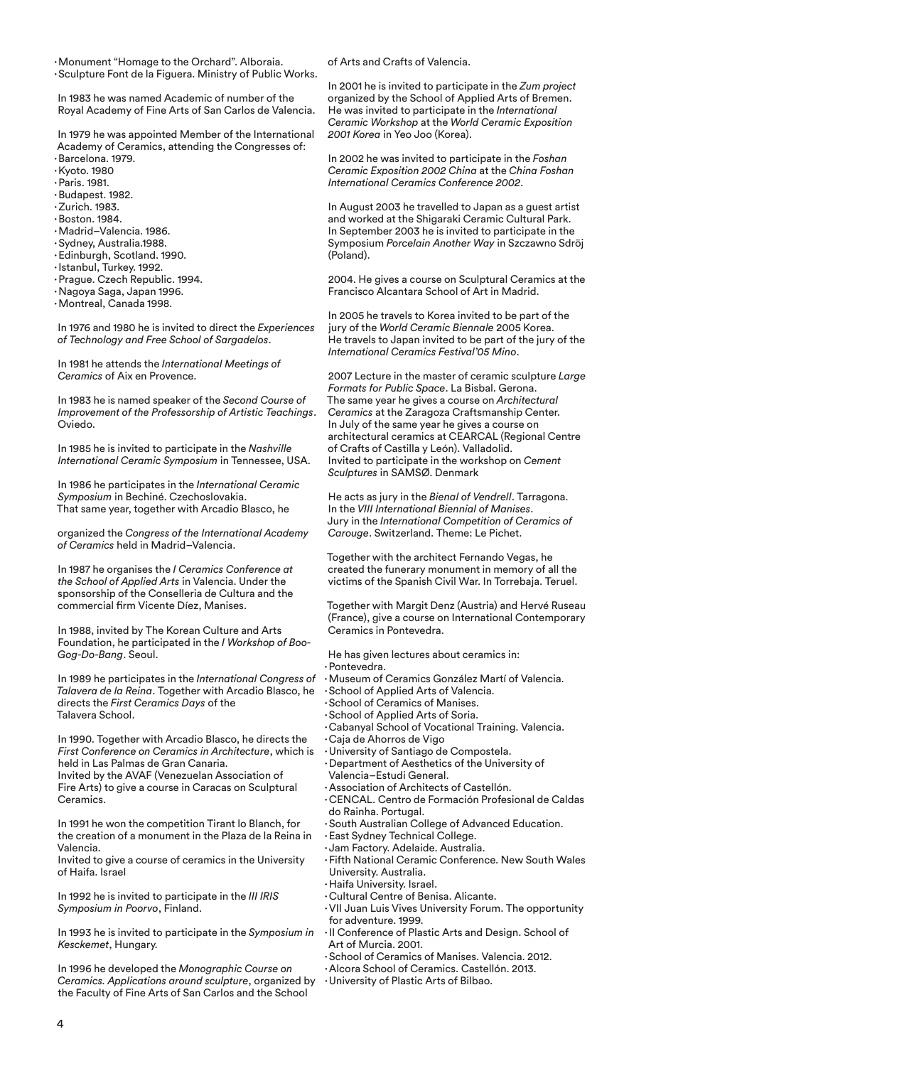**·**Monument "Homage to the Orchard". Alboraia. **·**Sculpture Font de la Figuera. Ministry of Public Works.

In 1983 he was named Academic of number of the Royal Academy of Fine Arts of San Carlos de Valencia.

In 1979 he was appointed Member of the International Academy of Ceramics, attending the Congresses of:

- **·**Barcelona. 1979.
- **·**Kyoto. 1980 **·**Paris. 1981.
- 
- **·**Budapest. 1982.
- **·**Zurich. 1983.
- **·**Boston. 1984.
- **·**Madrid–Valencia. 1986.
- **·**Sydney, Australia.1988.
- **·**Edinburgh, Scotland. 1990.
- **·**Istanbul, Turkey. 1992.
- **·**Prague. Czech Republic. 1994.
- **·**Nagoya Saga, Japan 1996.
- **·**Montreal, Canada 1998.

In 1976 and 1980 he is invited to direct the *Experiences of Technology and Free School of Sargadelos*.

#### In 1981 he attends the *International Meetings of Ceramics* of Aix en Provence.

In 1983 he is named speaker of the *Second Course of Improvement of the Professorship of Artistic Teachings*. Oviedo.

In 1985 he is invited to participate in the *Nashville International Ceramic Symposium* in Tennessee, USA.

In 1986 he participates in the *International Ceramic Symposium* in Bechiné. Czechoslovakia. That same year, together with Arcadio Blasco, he

organized the *Congress of the International Academy of Ceramics* held in Madrid–Valencia.

In 1987 he organises the *I Ceramics Conference at the School of Applied Arts* in Valencia. Under the sponsorship of the Conselleria de Cultura and the commercial firm Vicente Díez, Manises.

In 1988, invited by The Korean Culture and Arts Foundation, he participated in the *I Workshop of Boo-Gog-Do-Bang*. Seoul.

In 1989 he participates in the *International Congress of Talavera de la Reina*. Together with Arcadio Blasco, he directs the *First Ceramics Days* of the Talavera School.

In 1990. Together with Arcadio Blasco, he directs the *First Conference on Ceramics in Architecture*, which is held in Las Palmas de Gran Canaria. Invited by the AVAF (Venezuelan Association of Fire Arts) to give a course in Caracas on Sculptural Ceramics.

In 1991 he won the competition Tirant lo Blanch, for the creation of a monument in the Plaza de la Reina in Valencia.

Invited to give a course of ceramics in the University of Haifa. Israel

In 1992 he is invited to participate in the *III IRIS Symposium in Poorvo*, Finland.

In 1993 he is invited to participate in the *Symposium in Kesckemet*, Hungary.

In 1996 he developed the *Monographic Course on Ceramics. Applications around sculpture*, organized by the Faculty of Fine Arts of San Carlos and the School

of Arts and Crafts of Valencia.

In 2001 he is invited to participate in the *Zum project* organized by the School of Applied Arts of Bremen. He was invited to participate in the *International Ceramic Workshop* at the *World Ceramic Exposition 2001 Korea* in Yeo Joo (Korea).

In 2002 he was invited to participate in the *Foshan Ceramic Exposition 2002 China* at the *China Foshan International Ceramics Conference 2002*.

In August 2003 he travelled to Japan as a guest artist and worked at the Shigaraki Ceramic Cultural Park. In September 2003 he is invited to participate in the Symposium *Porcelain Another Way* in Szczawno Sdröj (Poland).

2004. He gives a course on Sculptural Ceramics at the Francisco Alcantara School of Art in Madrid.

In 2005 he travels to Korea invited to be part of the jury of the *World Ceramic Biennale* 2005 Korea. He travels to Japan invited to be part of the jury of the *International Ceramics Festival'05 Mino*.

2007 Lecture in the master of ceramic sculpture *Large Formats for Public Space*. La Bisbal. Gerona. The same year he gives a course on *Architectural Ceramics* at the Zaragoza Craftsmanship Center. In July of the same year he gives a course on architectural ceramics at CEARCAL (Regional Centre of Crafts of Castilla y León). Valladolid. Invited to participate in the workshop on *Cement Sculptures* in SAMSØ. Denmark

He acts as jury in the *Bienal of Vendrell*. Tarragona. In the *VIII International Biennial of Manises*. Jury in the *International Competition of Ceramics of Carouge*. Switzerland. Theme: Le Pichet.

Together with the architect Fernando Vegas, he created the funerary monument in memory of all the victims of the Spanish Civil War. In Torrebaja. Teruel.

Together with Margit Denz (Austria) and Hervé Ruseau (France), give a course on International Contemporary Ceramics in Pontevedra.

He has given lectures about ceramics in:

**·**Pontevedra.

**·**Museum of Ceramics González Martí of Valencia.

**·**School of Applied Arts of Valencia.

- **·**School of Ceramics of Manises.
- **·**School of Applied Arts of Soria.
- **·**Cabanyal School of Vocational Training. Valencia.
- **·**Caja de Ahorros de Vigo
- **·**University of Santiago de Compostela.
- **·**Department of Aesthetics of the University of
- Valencia–Estudi General.
- **·**Association of Architects of Castellón.
- **·**CENCAL. Centro de Formación Profesional de Caldas do Rainha. Portugal.
- **·**South Australian College of Advanced Education.
- **·**East Sydney Technical College.
- **·**Jam Factory. Adelaide. Australia.
- **·**Fifth National Ceramic Conference. New South Wales University. Australia.
- **·**Haifa University. Israel.
- **·**Cultural Centre of Benisa. Alicante.
- **·**VII Juan Luis Vives University Forum. The opportunity for adventure. 1999.
- **·**II Conference of Plastic Arts and Design. School of Art of Murcia. 2001.
	- **·**School of Ceramics of Manises. Valencia. 2012.
	- **·**Alcora School of Ceramics. Castellón. 2013.
	- **·**University of Plastic Arts of Bilbao.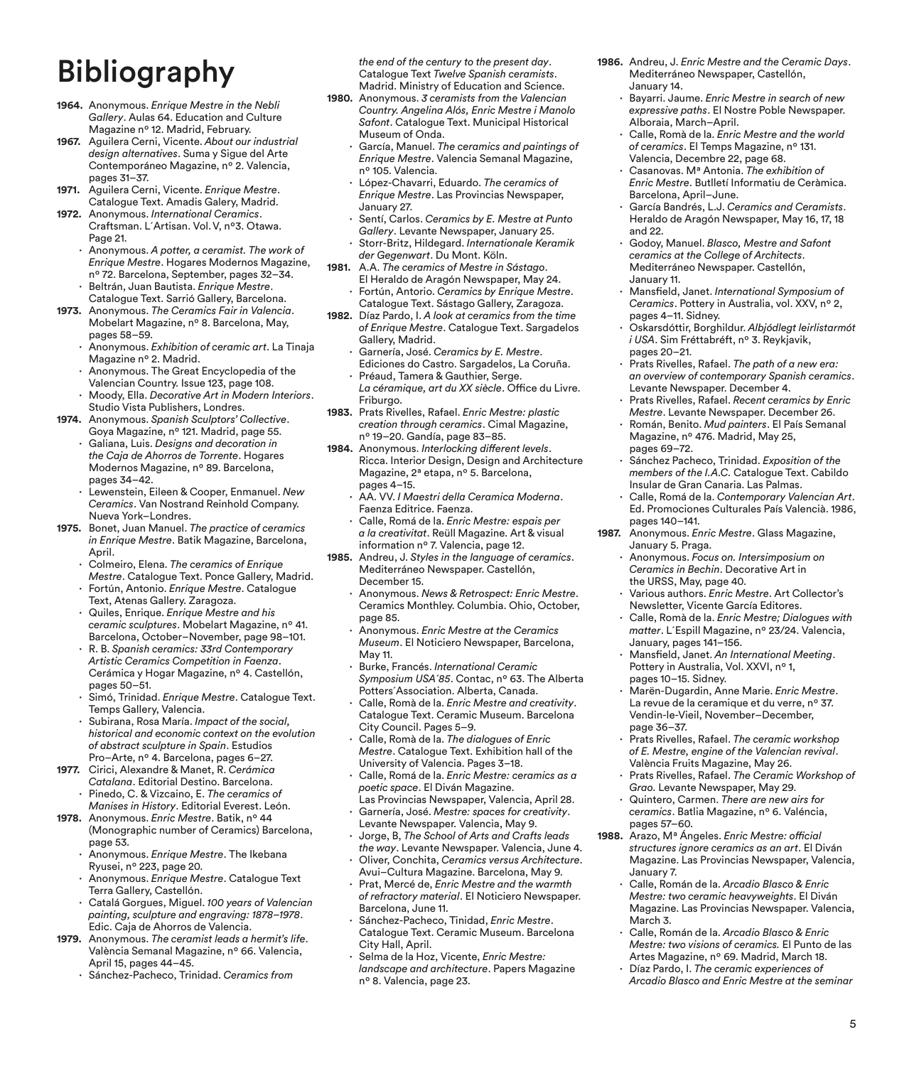# Bibliography

- **1964.** Anonymous. *Enrique Mestre in the Nebli Gallery*. Aulas 64. Education and Culture Magazine nº 12. Madrid, February.
- **1967.** Aguilera Cerni, Vicente. *About our industrial design alternatives*. Suma y Sigue del Arte Contemporáneo Magazine, nº 2. Valencia, pages 31–37.
- **1971.** Aguilera Cerni, Vicente. *Enrique Mestre*. Catalogue Text. Amadis Galery, Madrid.
- **1972.** Anonymous. *International Ceramics*. Craftsman. L´Artisan. Vol.V, nº3. Otawa. Page 21.
	- **1982·** Anonymous. *A potter, a ceramist. The work of Enrique Mestre*. Hogares Modernos Magazine, nº 72. Barcelona, September, pages 32–34. **1982·** Beltrán, Juan Bautista. *Enrique Mestre*.
- Catalogue Text. Sarrió Gallery, Barcelona. **1973.** Anonymous. *The Ceramics Fair in Valencia*.
- Mobelart Magazine, nº 8. Barcelona, May, pages 58–59.
	- **1982·** Anonymous. *Exhibition of ceramic art*. La Tinaja Magazine nº 2. Madrid.
	- **1982·** Anonymous. The Great Encyclopedia of the Valencian Country. Issue 123, page 108.
	- **1982·** Moody, Ella. *Decorative Art in Modern Interiors*. Studio Vista Publishers, Londres.
- **1974.** Anonymous. *Spanish Sculptors' Collective*. Goya Magazine, nº 121. Madrid, page 55.
	- **1982·** Galiana, Luis. *Designs and decoration in the Caja de Ahorros de Torrente*. Hogares Modernos Magazine, nº 89. Barcelona, pages 34–42.
	- **1982·** Lewenstein, Eileen & Cooper, Enmanuel. *New Ceramics*. Van Nostrand Reinhold Company. Nueva York–Londres.
- **1975.** Bonet, Juan Manuel. *The practice of ceramics in Enrique Mestre*. Batik Magazine, Barcelona, April
	- **1982·** Colmeiro, Elena. *The ceramics of Enrique Mestre*. Catalogue Text. Ponce Gallery, Madrid.
	- **1982·** Fortún, Antonio. *Enrique Mestre*. Catalogue Text, Atenas Gallery. Zaragoza.
	- **1982·** Quiles, Enrique. *Enrique Mestre and his ceramic sculptures*. Mobelart Magazine, nº 41. Barcelona, October–November, page 98–101.
	- **1982·** R. B. *Spanish ceramics: 33rd Contemporary Artistic Ceramics Competition in Faenza*. Cerámica y Hogar Magazine, nº 4. Castellón, pages 50–51.
	- **1982·** Simó, Trinidad. *Enrique Mestre*. Catalogue Text. Temps Gallery, Valencia.
	- **1982·** Subirana, Rosa María. *Impact of the social, historical and economic context on the evolution of abstract sculpture in Spain*. Estudios Pro–Arte, nº 4. Barcelona, pages 6–27.
- **1977.** Cirici, Alexandre & Manet, R. *Cerámica Catalana*. Editorial Destino. Barcelona.
- **1982·** Pinedo, C. & Vizcaino, E. *The ceramics of Manises in History*. Editorial Everest. León.
- **1978.** Anonymous. *Enric Mestre*. Batik, nº 44 (Monographic number of Ceramics) Barcelona, page 53.
	- **1982·** Anonymous. *Enrique Mestre*. The Ikebana Ryusei, nº 223, page 20.
	- **1982·** Anonymous. *Enrique Mestre*. Catalogue Text Terra Gallery, Castellón.
	- **1982·** Catalá Gorgues, Miguel. *100 years of Valencian painting, sculpture and engraving: 1878–1978*. Edic. Caja de Ahorros de Valencia.
- **1979.** Anonymous. *The ceramist leads a hermit's life*. València Semanal Magazine, nº 66. Valencia, April 15, pages 44–45.
	- **1982·** Sánchez-Pacheco, Trinidad. *Ceramics from*

*the end of the century to the present day*. Catalogue Text *Twelve Spanish ceramists*. Madrid. Ministry of Education and Science.

- **1980.** Anonymous. *3 ceramists from the Valencian Country. Angelina Alós, Enric Mestre i Manolo Safont*. Catalogue Text. Municipal Historical Museum of Onda.
	- **1982·** García, Manuel. *The ceramics and paintings of Enrique Mestre*. Valencia Semanal Magazine, nº 105. Valencia.
	- **1982·** López-Chavarri, Eduardo. *The ceramics of Enrique Mestre*. Las Provincias Newspaper, January 27.
	- **1982·** Sentí, Carlos. *Ceramics by E. Mestre at Punto Gallery*. Levante Newspaper, January 25.
	- **1982·** Storr-Britz, Hildegard. *Internationale Keramik der Gegenwart*. Du Mont. Köln.
- **1981.** A.A. *The ceramics of Mestre in Sástago*. El Heraldo de Aragón Newspaper, May 24. **1982·** Fortún, Antorio. *Ceramics by Enrique Mestre*.
- Catalogue Text. Sástago Gallery, Zaragoza. **1982.** Díaz Pardo, I. *A look at ceramics from the time*
- *of Enrique Mestre*. Catalogue Text. Sargadelos Gallery, Madrid.
	- **1982·** Garnería, José. *Ceramics by E. Mestre*. Ediciones do Castro. Sargadelos, La Coruña. **1982·** Préaud, Tamera & Gauthier, Serge.
- *La céramique, art du XX siècle*. Office du Livre. Friburgo.
- **1983.** Prats Rivelles, Rafael. *Enric Mestre: plastic creation through ceramics*. Cimal Magazine, nº 19–20. Gandía, page 83–85.
- **1984.** Anonymous. *Interlocking different levels*. Ricca. Interior Design, Design and Architecture Magazine, 2ª etapa, nº 5. Barcelona, pages 4–15.
	- **1982·** AA. VV. *I Maestri della Ceramica Moderna*. Faenza Editrice. Faenza.
	- **1982·** Calle, Romá de la. *Enric Mestre: espais per a la creativitat*. Reüll Magazine. Art & visual information nº 7. Valencia, page 12.
- **1985.** Andreu, J. *Styles in the language of ceramics*. Mediterráneo Newspaper. Castellón, December 15.
	- **1982·** Anonymous. *News & Retrospect: Enric Mestre*. Ceramics Monthley. Columbia. Ohio, October, page 85.
	- **1982·** Anonymous. *Enric Mestre at the Ceramics Museum*. El Noticiero Newspaper, Barcelona, May 11.
	- **1982·** Burke, Francés. *International Ceramic Symposium USA´85*. Contac, nº 63. The Alberta Potters´Association. Alberta, Canada.
	- **1982·** Calle, Romà de la. *Enric Mestre and creativity*. Catalogue Text. Ceramic Museum. Barcelona City Council. Pages 5–9.
	- **1982·** Calle, Romà de la. *The dialogues of Enric Mestre*. Catalogue Text. Exhibition hall of the University of Valencia. Pages 3–18.
	- **1982·** Calle, Romá de la. *Enric Mestre: ceramics as a poetic space*. El Diván Magazine.
	- Las Provincias Newspaper, Valencia, April 28. **1982·** Garnería, José. *Mestre: spaces for creativity*.
	- Levante Newspaper. Valencia, May 9. **1982·** Jorge, B, *The School of Arts and Crafts leads*
	- *the way*. Levante Newspaper. Valencia, June 4. **1982·** Oliver, Conchita, *Ceramics versus Architecture*.
	- Avui–Cultura Magazine. Barcelona, May 9. **1982·** Prat, Mercé de, *Enric Mestre and the warmth of refractory material*. El Noticiero Newspaper. Barcelona, June 11.
	- **1982·** Sánchez-Pacheco, Tinidad, *Enric Mestre*. Catalogue Text. Ceramic Museum. Barcelona City Hall, April.
	- **1982·** Selma de la Hoz, Vicente, *Enric Mestre: landscape and architecture*. Papers Magazine nº 8. Valencia, page 23.
- **1986.** Andreu, J. *Enric Mestre and the Ceramic Days*. Mediterráneo Newspaper, Castellón, January 14.
	- **1982·** Bayarri. Jaume. *Enric Mestre in search of new expressive paths*. El Nostre Poble Newspaper. Alboraia, March–April.
	- **1982·** Calle, Romà de la. *Enric Mestre and the world of ceramics*. El Temps Magazine, nº 131. Valencia, Decembre 22, page 68.
	- **1982·** Casanovas. Mª Antonia. *The exhibition of Enric Mestre*. Butlletí Informatiu de Ceràmica. Barcelona, April–June.
	- **1982·** García Bandrés, L.J. *Ceramics and Ceramists*. Heraldo de Aragón Newspaper, May 16, 17, 18 and 22.
	- **1982·** Godoy, Manuel. *Blasco, Mestre and Safont ceramics at the College of Architects*. Mediterráneo Newspaper. Castellón, January 11.
	- **1982·** Mansfield, Janet. *International Symposium of Ceramics*. Pottery in Australia, vol. XXV, nº 2, pages 4–11. Sidney.
	- **1982·** Oskarsdóttir, Borghildur. *Albjódlegt leirlistarmót i USA*. Sim Fréttabréft, nº 3. Reykjavik, pages 20–21.
	- **1982·** Prats Rivelles, Rafael. *The path of a new era: an overview of contemporary Spanish ceramics*. Levante Newspaper. December 4.
	- **1982·** Prats Rivelles, Rafael. *Recent ceramics by Enric Mestre*. Levante Newspaper. December 26.
	- **1982·** Román, Benito. *Mud painters*. El País Semanal Magazine, nº 476. Madrid, May 25, pages 69–72.
	- **1982·** Sánchez Pacheco, Trinidad. *Exposition of the members of the I.A.C.* Catalogue Text. Cabildo Insular de Gran Canaria. Las Palmas.
	- **1982·** Calle, Romá de la. *Contemporary Valencian Art*. Ed. Promociones Culturales País Valencià. 1986, pages 140–141.
- **1987.** Anonymous. *Enric Mestre*. Glass Magazine, January 5. Praga.
	- **1982·** Anonymous. *Focus on. Intersimposium on Ceramics in Bechin*. Decorative Art in the URSS, May, page 40.
	- **1982·** Various authors. *Enric Mestre*. Art Collector's Newsletter, Vicente García Editores.
	- **1982·** Calle, Romà de la. *Enric Mestre; Dialogues with matter*. L´Espill Magazine, nº 23/24. Valencia, January, pages 141–156.
	- **1982·** Mansfield, Janet. *An International Meeting*. Pottery in Australia, Vol. XXVI, nº 1, pages 10–15. Sidney.
	- **1982·** Marën-Dugardin, Anne Marie. *Enric Mestre*. La revue de la ceramique et du verre, nº 37. Vendin-le-Vieil, November–December, page 36–37.
	- **1982·** Prats Rivelles, Rafael. *The ceramic workshop of E. Mestre, engine of the Valencian revival*. València Fruits Magazine, May 26.
	- **1982·** Prats Rivelles, Rafael. *The Ceramic Workshop of Grao.* Levante Newspaper, May 29.
	- **1982·** Quintero, Carmen. *There are new airs for ceramics*. Batlia Magazine, nº 6. Valéncia, pages 57–60.
- **1988.** Arazo, Mª Ángeles. *Enric Mestre: official structures ignore ceramics as an art*. El Diván Magazine. Las Provincias Newspaper, Valencia, January 7.
	- **1982·** Calle, Román de la. *Arcadio Blasco & Enric Mestre: two ceramic heavyweights*. El Diván Magazine. Las Provincias Newspaper. Valencia, March 3.
	- **1982·** Calle, Román de la. *Arcadio Blasco & Enric Mestre: two visions of ceramics.* El Punto de las Artes Magazine, nº 69. Madrid, March 18.
	- **1982·** Díaz Pardo, I. *The ceramic experiences of Arcadio Blasco and Enric Mestre at the seminar*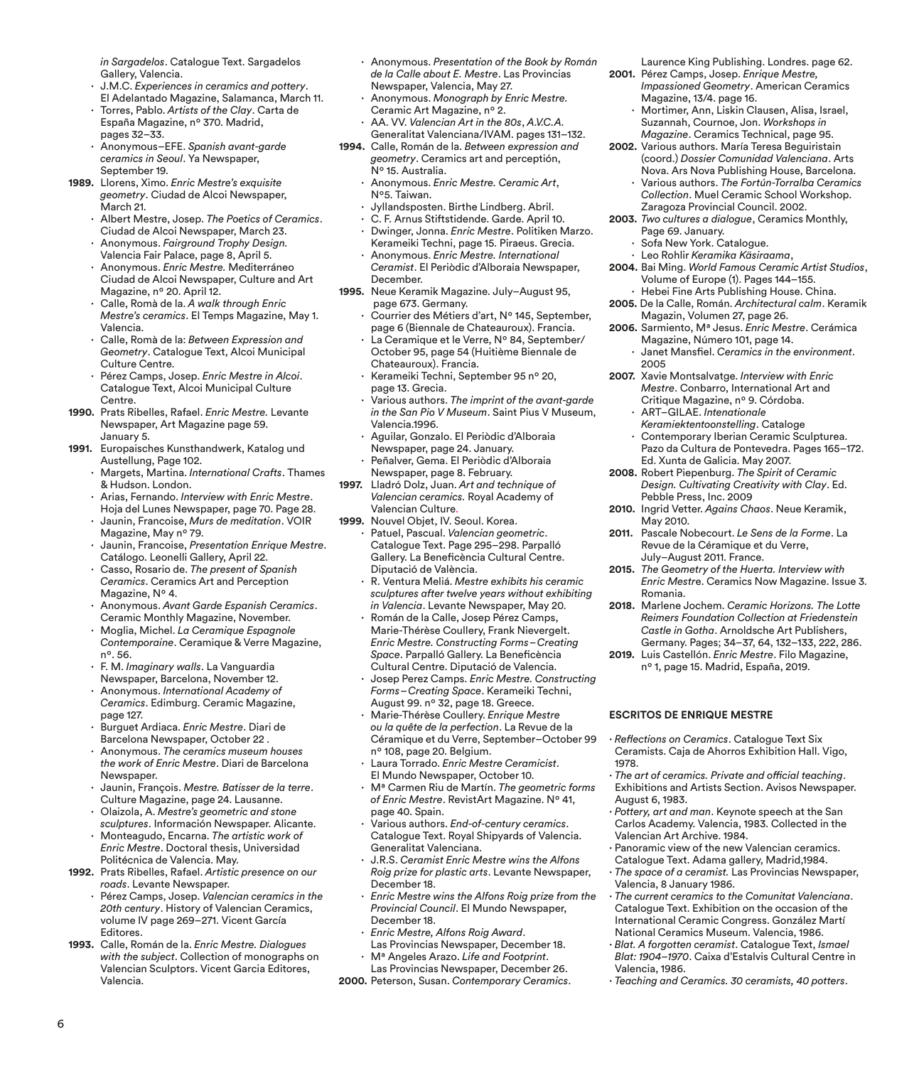*in Sargadelos*. Catalogue Text. Sargadelos Gallery, Valencia.

- **1982·** J.M.C. *Experiences in ceramics and pottery*. El Adelantado Magazine, Salamanca, March 11.
- **1982·** Torres, Pablo. *Artists of the Clay*. Carta de España Magazine, nº 370. Madrid, pages 32–33.
- **1982·** Anonymous–EFE. *Spanish avant-garde ceramics in Seoul*. Ya Newspaper, September 19.
- **1989.** Llorens, Ximo. *Enric Mestre's exquisite geometry*. Ciudad de Alcoi Newspaper, March 21.
	- **1982·** Albert Mestre, Josep. *The Poetics of Ceramics*. Ciudad de Alcoi Newspaper, March 23.
	- **1982·** Anonymous. *Fairground Trophy Design.* Valencia Fair Palace, page 8, April 5.
	- **1982·** Anonymous. *Enric Mestre.* Mediterráneo Ciudad de Alcoi Newspaper, Culture and Art Magazine, nº 20. April 12.
	- **1982·** Calle, Romà de la. *A walk through Enric Mestre's ceramics*. El Temps Magazine, May 1. Valencia.
	- **1982·** Calle, Romà de la: *Between Expression and Geometry*. Catalogue Text, Alcoi Municipal Culture Centre.
	- **1982·** Pérez Camps, Josep. *Enric Mestre in Alcoi*. Catalogue Text, Alcoi Municipal Culture Centre.
- **1990.** Prats Ribelles, Rafael. *Enric Mestre.* Levante Newspaper, Art Magazine page 59. January 5.
- **1991.** Europaisches Kunsthandwerk, Katalog und Austellung, Page 102.
	- **1982·** Margets, Martina. *International Crafts*. Thames & Hudson. London.
	- **1982·** Arias, Fernando. *Interview with Enric Mestre*. Hoja del Lunes Newspaper, page 70. Page 28.
	- **1982·** Jaunin, Francoise, *Murs de meditation*. VOIR Magazine, May nº 79.
	- **1982·** Jaunin, Francoise, *Presentation Enrique Mestre*. Catálogo. Leonelli Gallery, April 22.
	- **1982·** Casso, Rosario de. *The present of Spanish Ceramics*. Ceramics Art and Perception Magazine, Nº 4.
	- **1982·** Anonymous. *Avant Garde Espanish Ceramics*. Ceramic Monthly Magazine, November.
	- **1982·** Moglia, Michel. *La Ceramique Espagnole Contemporaine*. Ceramique & Verre Magazine, nº. 56.
	- **1982·** F. M. *Imaginary walls*. La Vanguardia Newspaper, Barcelona, November 12.
	- **1982·** Anonymous. *International Academy of Ceramics*. Edimburg. Ceramic Magazine, page 127.
	- **1982·** Burguet Ardiaca. *Enric Mestre*. Diari de Barcelona Newspaper, October 22 .
	- **1982·** Anonymous. *The ceramics museum houses the work of Enric Mestre*. Diari de Barcelona Newspaper.
	- **1982·** Jaunin, François. *Mestre. Batisser de la terre*. Culture Magazine, page 24. Lausanne.
	- **1982·** Olaizola, A. *Mestre's geometric and stone sculptures*. Información Newspaper. Alicante.
	- **1982·** Monteagudo, Encarna. *The artistic work of Enric Mestre*. Doctoral thesis, Universidad Politécnica de Valencia. May.
- **1992.** Prats Ribelles, Rafael. *Artistic presence on our roads*. Levante Newspaper.
	- **1982·** Pérez Camps, Josep. *Valencian ceramics in the 20th century*. History of Valencian Ceramics, volume IV page 269–271. Vicent García Editores.
- **1993.** Calle, Román de la. *Enric Mestre. Dialogues with the subject*. Collection of monographs on Valencian Sculptors. Vicent Garcia Editores, Valencia.
- **1982·** Anonymous. *Presentation of the Book by Román de la Calle about E. Mestre*. Las Provincias Newspaper, Valencia, May 27.
- **1982·** Anonymous. *Monograph by Enric Mestre.* Ceramic Art Magazine, nº 2.
- **1982·** AA. VV. *Valencian Art in the 80s*, *A.V.C.A.* Generalitat Valenciana/IVAM. pages 131–132.
- **1994.** Calle, Román de la. *Between expression and geometry*. Ceramics art and perceptión, Nº 15. Australia.
	- **1982·** Anonymous. *Enric Mestre. Ceramic Art*, Nº5. Taiwan.
	- **1982·** Jyllandsposten. Birthe Lindberg. Abril.
	- **1982·** C. F. Arnus Stiftstidende. Garde. April 10. **1982·** Dwinger, Jonna. *Enric Mestre*. Politiken Marzo.
	- Kerameiki Techni, page 15. Piraeus. Grecia. **1982·** Anonymous. *Enric Mestre. International*
	- *Ceramist*. El Periòdic d'Alboraia Newspaper, December.
- **1995.** Neue Keramik Magazine. July–August 95, page 673. Germany.
	- Courrier des Métiers d'art, Nº 145, September, page 6 (Biennale de Chateauroux). Francia.
	- La Ceramique et le Verre, N° 84, September/ October 95, page 54 (Huitième Biennale de
	- Chateauroux). Francia. **1982·** Kerameiki Techni, September 95 nº 20, page 13. Grecia.
	- **1982·** Various authors. *The imprint of the avant-garde in the San Pio V Museum*. Saint Pius V Museum, Valencia.1996.
	- **1982·** Aguilar, Gonzalo. El Periòdic d'Alboraia Newspaper, page 24. January.
	- **1982·** Peñalver, Gema. El Periòdic d'Alboraia Newspaper, page 8. February.
- **1997.** Lladró Dolz, Juan. *Art and technique of Valencian ceramics.* Royal Academy of Valencian Culture.
- **1999.** Nouvel Objet, IV. Seoul. Korea.
	- **1982·** Patuel, Pascual. *Valencian geometric*. Catalogue Text. Page 295–298. Parpalló Gallery. La Beneficència Cultural Centre. Diputació de València.
	- **1982·** R. Ventura Meliá. *Mestre exhibits his ceramic sculptures after twelve years without exhibiting in Valencia*. Levante Newspaper, May 20.
	- **1982·** Román de la Calle, Josep Pérez Camps, Marie-Thérèse Coullery, Frank Nievergelt. *Enric Mestre. Constructing Forms–Creating Space*. Parpalló Gallery. La Beneficència Cultural Centre. Diputació de Valencia.
	- **1982·** Josep Perez Camps. *Enric Mestre. Constructing Forms–Creating Space*. Kerameiki Techni, August 99. nº 32, page 18. Greece.
	- **1982·** Marie-Thérèse Coullery. *Enrique Mestre ou la quête de la perfection*. La Revue de la Céramique et du Verre, September–October 99 nº 108, page 20. Belgium.
	- **1982·** Laura Torrado. *Enric Mestre Ceramicist*. El Mundo Newspaper, October 10.
	- **1982·** Mª Carmen Riu de Martín. *The geometric forms of Enric Mestre*. RevistArt Magazine. Nº 41, page 40. Spain.
	- **1982·** Various authors. *End-of-century ceramics*. Catalogue Text. Royal Shipyards of Valencia. Generalitat Valenciana.
	- **1982·** J.R.S. *Ceramist Enric Mestre wins the Alfons Roig prize for plastic arts*. Levante Newspaper, December 18.
	- **1982·** *Enric Mestre wins the Alfons Roig prize from the Provincial Council*. El Mundo Newspaper, December 18.
	- **1982·** *Enric Mestre, Alfons Roig Award*. Las Provincias Newspaper, December 18. **1982·** Mª Angeles Arazo. *Life and Footprint*.
	- Las Provincias Newspaper, December 26.
- **2000.** Peterson, Susan. *Contemporary Ceramics*.

Laurence King Publishing. Londres. page 62.

- **2001.** Pérez Camps, Josep. *Enrique Mestre, Impassioned Geometry*. American Ceramics Magazine, 13/4. page 16.
	- **1982·** Mortimer, Ann, Liskin Clausen, Alisa, Israel, Suzannah, Cournoe, Jon. *Workshops in Magazine*. Ceramics Technical, page 95.
- **2002.** Various authors. María Teresa Beguiristain (coord.) *Dossier Comunidad Valenciana*. Arts Nova. Ars Nova Publishing House, Barcelona.
	- **1982·** Various authors. *The Fortún-Torralba Ceramics Collection*. Muel Ceramic School Workshop. Zaragoza Provincial Council. 2002.
- **2003.** *Two cultures a dialogue*, Ceramics Monthly, Page 69. January.
	- **1982·** Sofa New York. Catalogue.
	- **1982·** Leo Rohlir *Keramika Käsiraama*,
- **2004.** Bai Ming. *World Famous Ceramic Artist Studios*, Volume of Europe (1). Pages 144–155. **1982·** Hebei Fine Arts Publishing House. China.
- **2005.** De la Calle, Román. *Architectural calm*. Keramik Magazin, Volumen 27, page 26.
- **2006.** Sarmiento, Mª Jesus. *Enric Mestre*. Cerámica Magazine, Número 101, page 14. **1982·** Janet Mansfiel. *Ceramics in the environment*. 2005
- **2007.** Xavie Montsalvatge. *Interview with Enric Mestre*. Conbarro, International Art and Critique Magazine, nº 9. Córdoba. **1982·** ART–GILAE. *Intenationale* 
	- *Keramiektentoonstelling*. Cataloge **1982·** Contemporary Iberian Ceramic Sculpturea. Pazo da Cultura de Pontevedra. Pages 165–172. Ed. Xunta de Galicia. May 2007.
- **2008.** Robert Piepenburg. *The Spirit of Ceramic Design. Cultivating Creativity with Clay*. Ed. Pebble Press, Inc. 2009
- **2010.** Ingrid Vetter. *Agains Chaos*. Neue Keramik, May 2010.
- **2011.** Pascale Nobecourt. *Le Sens de la Forme*. La Revue de la Céramique et du Verre, July–August 2011. France.
- **2015.** *The Geometry of the Huerta. Interview with Enric Mestr*e. Ceramics Now Magazine. Issue 3. Romania.
- **2018.** Marlene Jochem. *Ceramic Horizons. The Lotte Reimers Foundation Collection at Friedenstein Castle in Gotha*. Arnoldsche Art Publishers, Germany. Pages; 34–37, 64, 132–133, 222, 286.
- **2019.** Luis Castellón. *Enric Mestre*. Filo Magazine, nº 1, page 15. Madrid, España, 2019.

#### **ESCRITOS DE ENRIQUE MESTRE**

- **·** *Reflections on Ceramics*. Catalogue Text Six Ceramists. Caja de Ahorros Exhibition Hall. Vigo, 1978.
- **·** *The art of ceramics. Private and official teaching*. Exhibitions and Artists Section. Avisos Newspaper. August 6, 1983.
- **·** *Pottery, art and man*. Keynote speech at the San Carlos Academy. Valencia, 1983. Collected in the Valencian Art Archive. 1984.
- **·** Panoramic view of the new Valencian ceramics.
- Catalogue Text. Adama gallery, Madrid,1984. **·** *The space of a ceramist.* Las Provincias Newspaper,
- Valencia, 8 January 1986.
- **·** *The current ceramics to the Comunitat Valenciana*. Catalogue Text. Exhibition on the occasion of the International Ceramic Congress. González Martí National Ceramics Museum. Valencia, 1986.
- **·** *Blat. A forgotten ceramist*. Catalogue Text, *Ismael Blat: 1904–1970*. Caixa d'Estalvis Cultural Centre in Valencia, 1986.
- **·** *Teaching and Ceramics. 30 ceramists, 40 potters*.